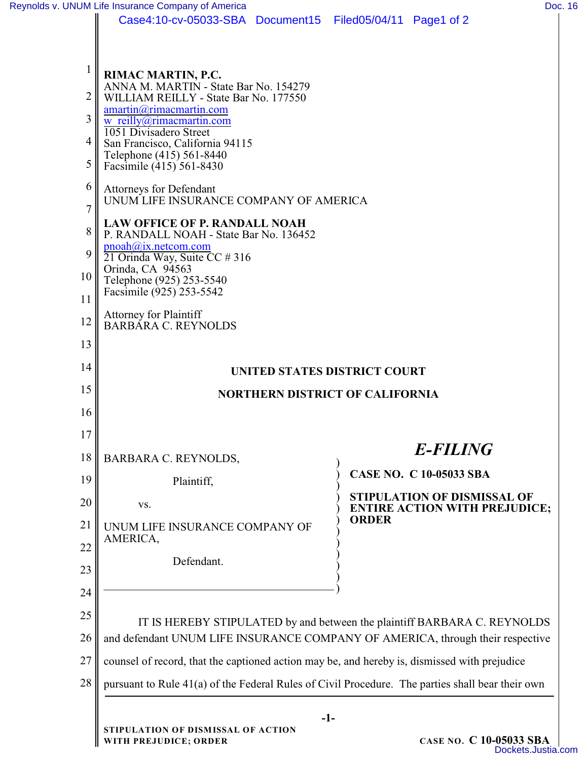|                      | Case4:10-cv-05033-SBA Document15 Filed05/04/11 Page1 of 2                                                                                                                                                                                                                        |                                                                          |
|----------------------|----------------------------------------------------------------------------------------------------------------------------------------------------------------------------------------------------------------------------------------------------------------------------------|--------------------------------------------------------------------------|
| 2<br>3<br>4<br>5     | RIMAC MARTIN, P.C.<br>ANNA M. MARTIN - State Bar No. 154279<br>WILLIAM REILLY - State Bar No. 177550<br>amartin@rimacmartin.com<br>w reilly@rimacmartin.com<br>1051 Divisadero Street<br>San Francisco, California 94115<br>Telephone (415) 561-8440<br>Facsimile (415) 561-8430 |                                                                          |
| 6<br>7               | <b>Attorneys for Defendant</b><br>UNUM LIFE INSURANCE COMPANY OF AMERICA                                                                                                                                                                                                         |                                                                          |
| 8<br>9<br>10<br>11   | <b>LAW OFFICE OF P. RANDALL NOAH</b><br>P. RANDALL NOAH - State Bar No. 136452<br>pnoah@ix.netcom.com<br>$\overline{21}$ Orinda Way, Suite CC # 316<br>Orinda, CA 94563<br>Telephone (925) 253-5540<br>Facsimile (925) 253-5542                                                  |                                                                          |
| 12                   | <b>Attorney for Plaintiff</b><br><b>BARBARA C. REYNOLDS</b>                                                                                                                                                                                                                      |                                                                          |
| 13                   |                                                                                                                                                                                                                                                                                  |                                                                          |
|                      |                                                                                                                                                                                                                                                                                  |                                                                          |
| 14                   | UNITED STATES DISTRICT COURT                                                                                                                                                                                                                                                     |                                                                          |
| 15                   | <b>NORTHERN DISTRICT OF CALIFORNIA</b>                                                                                                                                                                                                                                           |                                                                          |
|                      |                                                                                                                                                                                                                                                                                  |                                                                          |
| 16<br>17<br>18       | BARBARA C. REYNOLDS,                                                                                                                                                                                                                                                             | <b>E-FILING</b>                                                          |
| 19                   | Plaintiff,                                                                                                                                                                                                                                                                       | <b>CASE NO. C 10-05033 SBA</b>                                           |
| 20                   | VS.                                                                                                                                                                                                                                                                              | <b>STIPULATION OF DISMISSAL OF</b>                                       |
| 21                   | UNUM LIFE INSURANCE COMPANY OF                                                                                                                                                                                                                                                   | <b>ORDER</b>                                                             |
|                      | AMERICA,                                                                                                                                                                                                                                                                         |                                                                          |
| 22<br>23             | Defendant.                                                                                                                                                                                                                                                                       | <b>ENTIRE ACTION WITH PREJUDICE;</b>                                     |
|                      |                                                                                                                                                                                                                                                                                  |                                                                          |
|                      | and defendant UNUM LIFE INSURANCE COMPANY OF AMERICA, through their respective                                                                                                                                                                                                   |                                                                          |
| 24<br>25<br>26<br>27 | counsel of record, that the captioned action may be, and hereby is, dismissed with prejudice                                                                                                                                                                                     | IT IS HEREBY STIPULATED by and between the plaintiff BARBARA C. REYNOLDS |